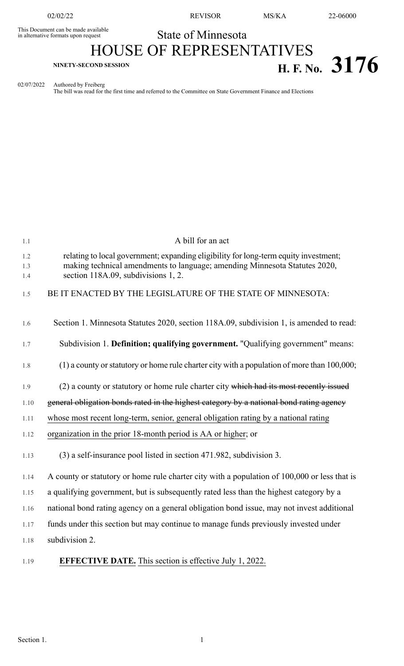This Document can be made available<br>in alternative formats upon request

02/02/22 REVISOR MS/KA 22-06000

## State of Minnesota HOUSE OF REPRESENTATIVES **EXPLOSED SESSION**<br>**H. F. No. 3176**

02/07/2022 Authored by Freiberg

The bill was read for the first time and referred to the Committee on State Government Finance and Elections

| 1.1               | A bill for an act                                                                                                                                                                                         |
|-------------------|-----------------------------------------------------------------------------------------------------------------------------------------------------------------------------------------------------------|
| 1.2<br>1.3<br>1.4 | relating to local government; expanding eligibility for long-term equity investment;<br>making technical amendments to language; amending Minnesota Statutes 2020,<br>section 118A.09, subdivisions 1, 2. |
| 1.5               | BE IT ENACTED BY THE LEGISLATURE OF THE STATE OF MINNESOTA:                                                                                                                                               |
| 1.6               | Section 1. Minnesota Statutes 2020, section 118A.09, subdivision 1, is amended to read:                                                                                                                   |
| 1.7               | Subdivision 1. Definition; qualifying government. "Qualifying government" means:                                                                                                                          |
| 1.8               | $(1)$ a county or statutory or home rule charter city with a population of more than 100,000;                                                                                                             |
| 1.9               | (2) a county or statutory or home rule charter city which had its most recently issued                                                                                                                    |
| 1.10              | general obligation bonds rated in the highest category by a national bond rating agency                                                                                                                   |
| 1.11              | whose most recent long-term, senior, general obligation rating by a national rating                                                                                                                       |
| 1.12              | organization in the prior 18-month period is AA or higher; or                                                                                                                                             |
| 1.13              | (3) a self-insurance pool listed in section 471.982, subdivision 3.                                                                                                                                       |
| 1.14              | A county or statutory or home rule charter city with a population of 100,000 or less that is                                                                                                              |
| 1.15              | a qualifying government, but is subsequently rated less than the highest category by a                                                                                                                    |
| 1.16              | national bond rating agency on a general obligation bond issue, may not invest additional                                                                                                                 |
| 1.17              | funds under this section but may continue to manage funds previously invested under                                                                                                                       |
| 1.18              | subdivision 2.                                                                                                                                                                                            |
| 1.19              | <b>EFFECTIVE DATE.</b> This section is effective July 1, 2022.                                                                                                                                            |